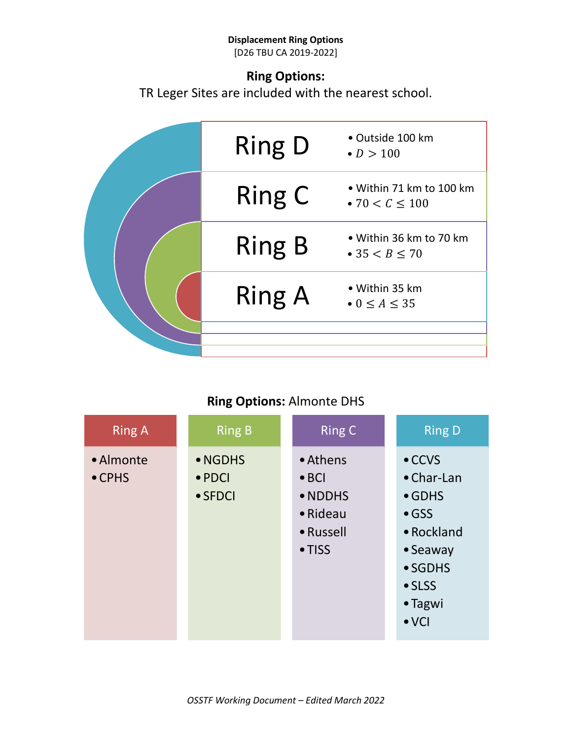#### **Displacement Ring Options** [D26 TBU CA 2019-2022]

### **Ring Options:**

TR Leger Sites are included with the nearest school.



### **Ring Options:** Almonte DHS

| <b>Ring A</b>               | <b>Ring B</b>                                | <b>Ring C</b>                                                                           | <b>Ring D</b>                                                                                                                                              |
|-----------------------------|----------------------------------------------|-----------------------------------------------------------------------------------------|------------------------------------------------------------------------------------------------------------------------------------------------------------|
| • Almonte<br>$\bullet$ CPHS | • NGDHS<br>$\bullet$ PDCI<br>$\bullet$ SFDCI | • Athens<br>$\bullet$ BCI<br>• NDDHS<br>$\bullet$ Rideau<br>• Russell<br>$\bullet$ TISS | $\bullet$ CCVS<br>$\bullet$ Char-Lan<br>$\bullet$ GDHS<br>$\bullet$ GSS<br>• Rockland<br>• Seaway<br>• SGDHS<br>$\bullet$ SLSS<br>• Tagwi<br>$\bullet$ VCI |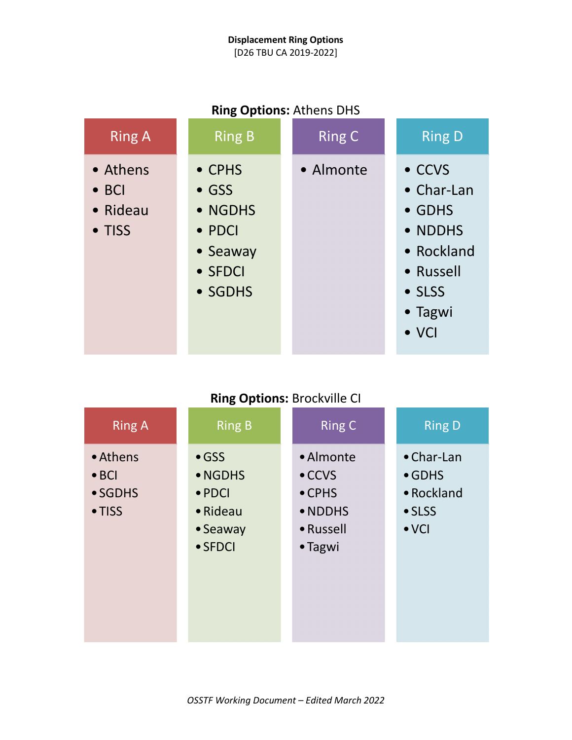### **Displacement Ring Options** [D26 TBU CA 2019-2022]

| <b>Ring Options:</b> Athens DHS                 |                                                                                |               |                                                                                                                    |  |
|-------------------------------------------------|--------------------------------------------------------------------------------|---------------|--------------------------------------------------------------------------------------------------------------------|--|
| <b>Ring A</b>                                   | <b>Ring B</b>                                                                  | <b>Ring C</b> | <b>Ring D</b>                                                                                                      |  |
| • Athens<br>$\bullet$ BCI<br>• Rideau<br>• TISS | • CPHS<br>$\bullet$ GSS<br>• NGDHS<br>• PDCI<br>• Seaway<br>• SFDCI<br>• SGDHS | • Almonte     | • CCVS<br>$\bullet$ Char-Lan<br>• GDHS<br>• NDDHS<br>• Rockland<br>• Russell<br>• SLSS<br>• Tagwi<br>$\bullet$ VCI |  |

### **Ring Options:** Athens DHS

# **Ring Options:** Brockville CI

| <b>Ring A</b>                                                  | <b>Ring B</b>                                                                 | <b>Ring C</b>                                                                    | <b>Ring D</b>                                                         |
|----------------------------------------------------------------|-------------------------------------------------------------------------------|----------------------------------------------------------------------------------|-----------------------------------------------------------------------|
| • Athens<br>$\bullet$ BCI<br>$\bullet$ SGDHS<br>$\bullet$ TISS | $\bullet$ GSS<br>• NGDHS<br>$\bullet$ PDCI<br>• Rideau<br>• Seaway<br>• SFDCI | • Almonte<br>$\bullet$ CCVS<br>$\bullet$ CPHS<br>• NDDHS<br>• Russell<br>• Tagwi | • Char-Lan<br>$\bullet$ GDHS<br>• Rockland<br>• SLSS<br>$\bullet$ VCI |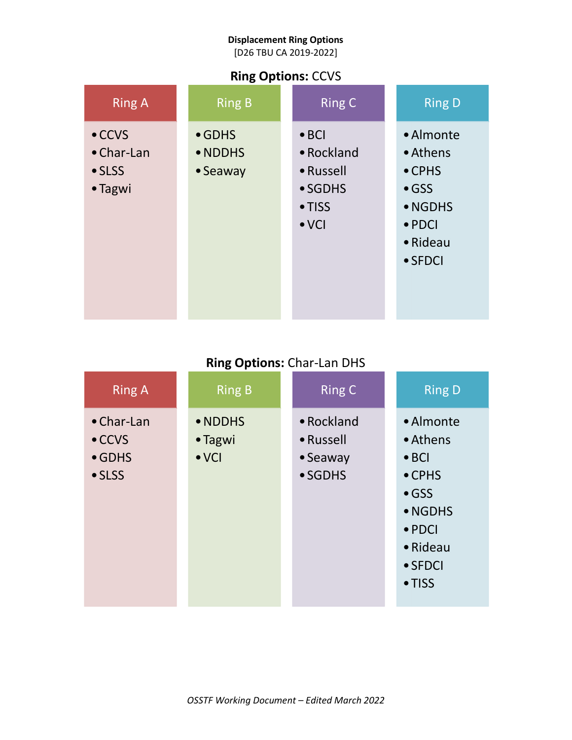[D26 TBU CA 2019-2022]

## **Ring Options:** CCVS

| <b>Ring A</b>                                                     | <b>Ring B</b>                         | <b>Ring C</b>                                                                  | <b>Ring D</b>                                                                                                        |
|-------------------------------------------------------------------|---------------------------------------|--------------------------------------------------------------------------------|----------------------------------------------------------------------------------------------------------------------|
| $\bullet$ CCVS<br>$\bullet$ Char-Lan<br>$\bullet$ SLSS<br>• Tagwi | $\bullet$ GDHS<br>• NDDHS<br>• Seaway | $\bullet$ BCI<br>• Rockland<br>• Russell<br>• SGDHS<br>• TISS<br>$\bullet$ VCI | • Almonte<br>• Athens<br>$\bullet$ CPHS<br>$\bullet$ GSS<br>• NGDHS<br>$\bullet$ PDCI<br>• Rideau<br>$\bullet$ SFDCI |

# **Ring Options:** Char-Lan DHS

| <b>Ring A</b>                                                            | <b>Ring B</b>                       | <b>Ring C</b>                                          | <b>Ring D</b>                                                                                                                                   |
|--------------------------------------------------------------------------|-------------------------------------|--------------------------------------------------------|-------------------------------------------------------------------------------------------------------------------------------------------------|
| $\bullet$ Char-Lan<br>$\bullet$ CCVS<br>$\bullet$ GDHS<br>$\bullet$ SLSS | • NDDHS<br>• Tagwi<br>$\bullet$ VCI | • Rockland<br>• Russell<br>$\bullet$ Seaway<br>• SGDHS | • Almonte<br>• Athens<br>$\bullet$ BCI<br>• CPHS<br>$\bullet$ GSS<br>• NGDHS<br>$\bullet$ PDCI<br>$\bullet$ Rideau<br>• SFDCI<br>$\bullet$ TISS |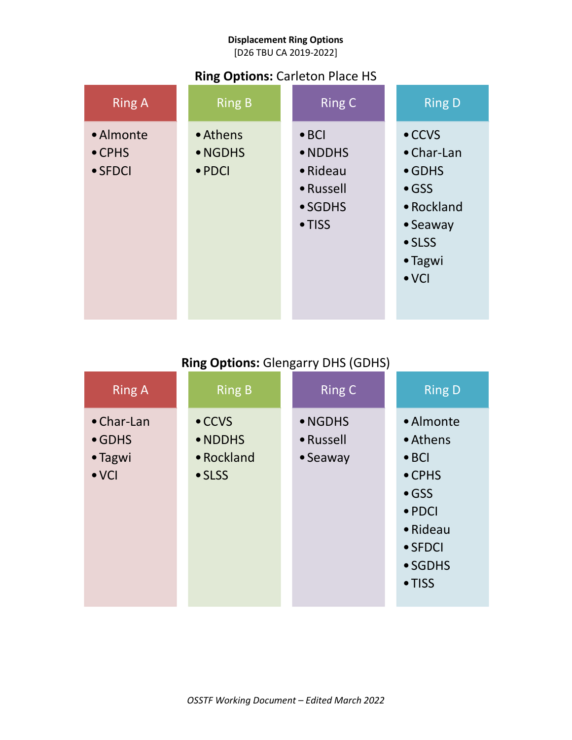[D26 TBU CA 2019-2022]

## **Ring Options:** Carleton Place HS

| <b>Ring A</b>                                  | <b>Ring B</b>                         | <b>Ring C</b>                                                                          | <b>Ring D</b>                                                                                                                           |
|------------------------------------------------|---------------------------------------|----------------------------------------------------------------------------------------|-----------------------------------------------------------------------------------------------------------------------------------------|
| • Almonte<br>$\bullet$ CPHS<br>$\bullet$ SFDCI | • Athens<br>• NGDHS<br>$\bullet$ PDCI | $\bullet$ BCI<br>• NDDHS<br>$\bullet$ Rideau<br>• Russell<br>• SGDHS<br>$\bullet$ TISS | $\bullet$ CCVS<br>$\bullet$ Char-Lan<br>$\bullet$ GDHS<br>$\bullet$ GSS<br>• Rockland<br>• Seaway<br>• SLSS<br>• Tagwi<br>$\bullet$ VCI |

# **Ring Options:** Glengarry DHS (GDHS)

| <b>Ring A</b>                                                    | <b>Ring B</b>                                             | <b>Ring C</b>                    | <b>Ring D</b>                                                                                                                                           |
|------------------------------------------------------------------|-----------------------------------------------------------|----------------------------------|---------------------------------------------------------------------------------------------------------------------------------------------------------|
| $\bullet$ Char-Lan<br>$\bullet$ GDHS<br>• Tagwi<br>$\bullet$ VCI | $\bullet$ CCVS<br>• NDDHS<br>• Rockland<br>$\bullet$ SLSS | • NGDHS<br>• Russell<br>• Seaway | • Almonte<br>• Athens<br>$\bullet$ BCI<br>$\bullet$ CPHS<br>$\bullet$ GSS<br>$\bullet$ PDCI<br>• Rideau<br>$\bullet$ SFDCI<br>• SGDHS<br>$\bullet$ TISS |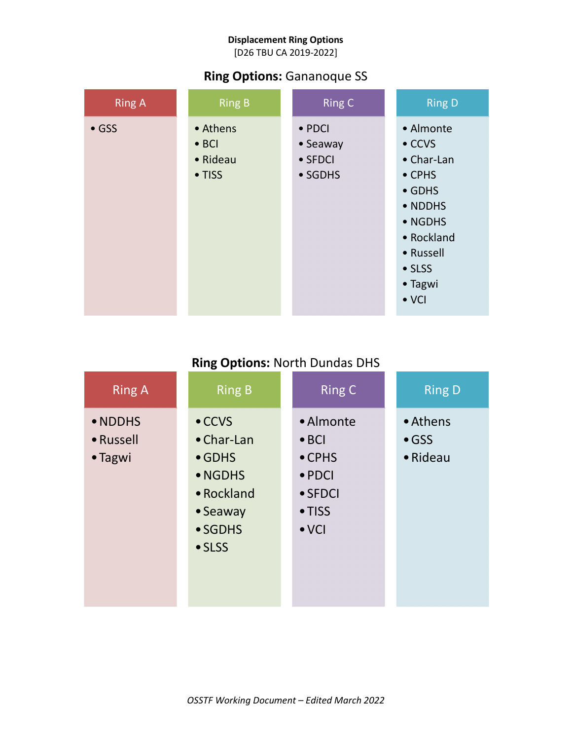[D26 TBU CA 2019-2022]

### **Ring Options:** Gananoque SS

| <b>Ring A</b> | <b>Ring B</b>                                   | <b>Ring C</b>                                            | <b>Ring D</b>                                                                                                                                                |
|---------------|-------------------------------------------------|----------------------------------------------------------|--------------------------------------------------------------------------------------------------------------------------------------------------------------|
| $\bullet$ GSS | • Athens<br>$\bullet$ BCI<br>• Rideau<br>• TISS | $\bullet$ PDCI<br>• Seaway<br>$\bullet$ SFDCI<br>• SGDHS | • Almonte<br>$\bullet$ CCVS<br>• Char-Lan<br>• CPHS<br>$\bullet$ GDHS<br>• NDDHS<br>• NGDHS<br>• Rockland<br>• Russell<br>• SLSS<br>• Tagwi<br>$\bullet$ VCI |

# **Ring Options:** North Dundas DHS

| <b>Ring A</b>                   | <b>Ring B</b>                                                                                                    | <b>Ring C</b>                                                                                                        | <b>Ring D</b>                         |
|---------------------------------|------------------------------------------------------------------------------------------------------------------|----------------------------------------------------------------------------------------------------------------------|---------------------------------------|
| • NDDHS<br>• Russell<br>• Tagwi | $\bullet$ CCVS<br>$\bullet$ Char-Lan<br>$\bullet$ GDHS<br>• NGDHS<br>• Rockland<br>• Seaway<br>• SGDHS<br>• SLSS | • Almonte<br>$\bullet$ BCI<br>$\bullet$ CPHS<br>$\bullet$ PDCI<br>$\bullet$ SFDCI<br>$\bullet$ TISS<br>$\bullet$ VCI | • Athens<br>$\bullet$ GSS<br>• Rideau |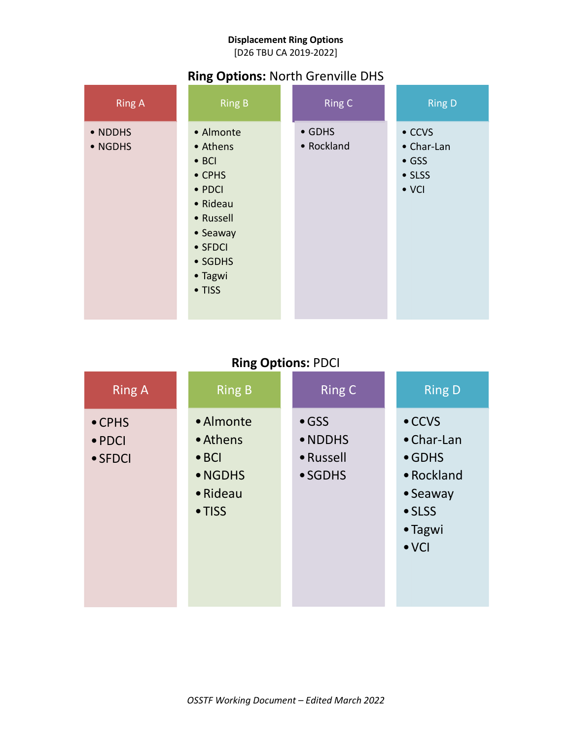[D26 TBU CA 2019-2022]

## **Ring Options:** North Grenville DHS

| <b>Ring A</b>      | <b>Ring B</b>                                                                                                                                      | <b>Ring C</b>                | <b>Ring D</b>                                                            |
|--------------------|----------------------------------------------------------------------------------------------------------------------------------------------------|------------------------------|--------------------------------------------------------------------------|
| • NDDHS<br>• NGDHS | • Almonte<br>• Athens<br>$\bullet$ BCI<br>$\bullet$ CPHS<br>• PDCI<br>• Rideau<br>• Russell<br>• Seaway<br>• SFDCI<br>• SGDHS<br>• Tagwi<br>• TISS | $\bullet$ GDHS<br>• Rockland | $\bullet$ CCVS<br>• Char-Lan<br>$\bullet$ GSS<br>• SLSS<br>$\bullet$ VCI |

# **Ring Options:** PDCI

| <b>Ring A</b>                                       | <b>Ring B</b>                                                           | <b>Ring C</b>                                    | <b>Ring D</b>                                                                                                          |
|-----------------------------------------------------|-------------------------------------------------------------------------|--------------------------------------------------|------------------------------------------------------------------------------------------------------------------------|
| $\bullet$ CPHS<br>$\bullet$ PDCI<br>$\bullet$ SFDCI | • Almonte<br>• Athens<br>$\bullet$ BCI<br>• NGDHS<br>• Rideau<br>• TISS | $\bullet$ GSS<br>• NDDHS<br>• Russell<br>• SGDHS | $\bullet$ CCVS<br>$\bullet$ Char-Lan<br>$\bullet$ GDHS<br>• Rockland<br>• Seaway<br>• SLSS<br>• Tagwi<br>$\bullet$ VCI |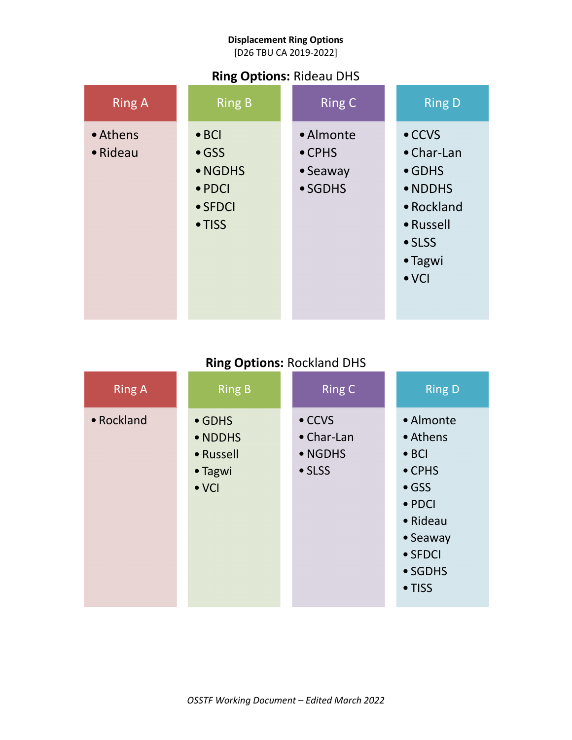[D26 TBU CA 2019-2022]

## **Ring Options:** Rideau DHS

| <b>Ring A</b>                | <b>Ring B</b>                                                                            | <b>Ring C</b>                                              | <b>Ring D</b>                                                                                                                      |
|------------------------------|------------------------------------------------------------------------------------------|------------------------------------------------------------|------------------------------------------------------------------------------------------------------------------------------------|
| • Athens<br>$\bullet$ Rideau | $\bullet$ BCI<br>$\bullet$ GSS<br>• NGDHS<br>$\bullet$ PDCI<br>$\bullet$ SFDCI<br>• TISS | • Almonte<br>$\bullet$ CPHS<br>• Seaway<br>$\bullet$ SGDHS | $\bullet$ CCVS<br>$\bullet$ Char-Lan<br>$\bullet$ GDHS<br>• NDDHS<br>• Rockland<br>• Russell<br>• SLSS<br>• Tagwi<br>$\bullet$ VCI |

# **Ring Options:** Rockland DHS

| <b>Ring A</b> | <b>Ring B</b>                                                      | <b>Ring C</b>                                     | <b>Ring D</b>                                                                                                                                               |
|---------------|--------------------------------------------------------------------|---------------------------------------------------|-------------------------------------------------------------------------------------------------------------------------------------------------------------|
| • Rockland    | $\bullet$ GDHS<br>• NDDHS<br>• Russell<br>• Tagwi<br>$\bullet$ VCI | $\bullet$ CCVS<br>• Char-Lan<br>• NGDHS<br>• SLSS | • Almonte<br>• Athens<br>$\bullet$ BCI<br>$\bullet$ CPHS<br>$\bullet$ GSS<br>$\bullet$ PDCI<br>$\bullet$ Rideau<br>• Seaway<br>• SFDCI<br>• SGDHS<br>• TISS |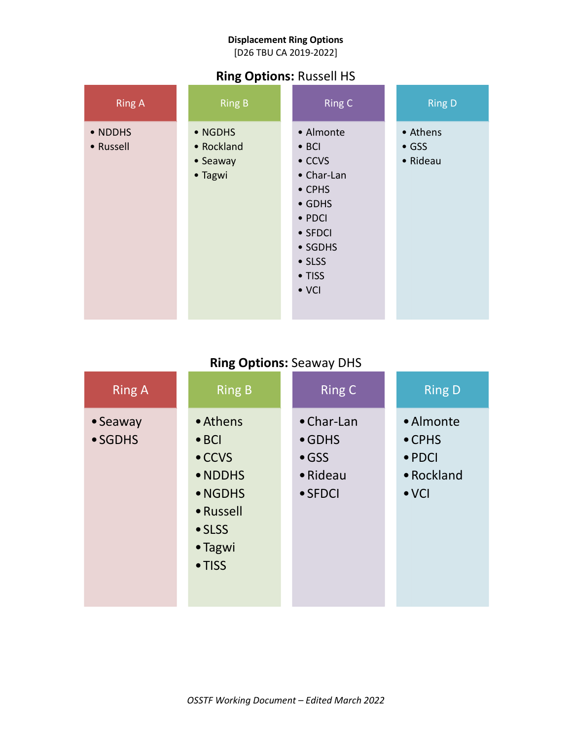[D26 TBU CA 2019-2022]

## **Ring Options:** Russell HS

| <b>Ring A</b>        | <b>Ring B</b>                                | <b>Ring C</b>                                                                                                                                                       | <b>Ring D</b>                         |
|----------------------|----------------------------------------------|---------------------------------------------------------------------------------------------------------------------------------------------------------------------|---------------------------------------|
| • NDDHS<br>• Russell | • NGDHS<br>• Rockland<br>• Seaway<br>• Tagwi | • Almonte<br>$\bullet$ BCI<br>$\bullet$ CCVS<br>• Char-Lan<br>• CPHS<br>$\bullet$ GDHS<br>$\bullet$ PDCI<br>• SFDCI<br>• SGDHS<br>• SLSS<br>• TISS<br>$\bullet$ VCI | • Athens<br>$\bullet$ GSS<br>• Rideau |

# **Ring Options:** Seaway DHS

| <b>Ring A</b>       | <b>Ring B</b>                                                                                                 | <b>Ring C</b>                                                        | <b>Ring D</b>                                                                |
|---------------------|---------------------------------------------------------------------------------------------------------------|----------------------------------------------------------------------|------------------------------------------------------------------------------|
| • Seaway<br>• SGDHS | • Athens<br>$\bullet$ BCI<br>$\bullet$ CCVS<br>• NDDHS<br>• NGDHS<br>• Russell<br>• SLSS<br>• Tagwi<br>• TISS | • Char-Lan<br>$\bullet$ GDHS<br>$\bullet$ GSS<br>• Rideau<br>• SFDCI | • Almonte<br>$\bullet$ CPHS<br>$\bullet$ PDCI<br>• Rockland<br>$\bullet$ VCI |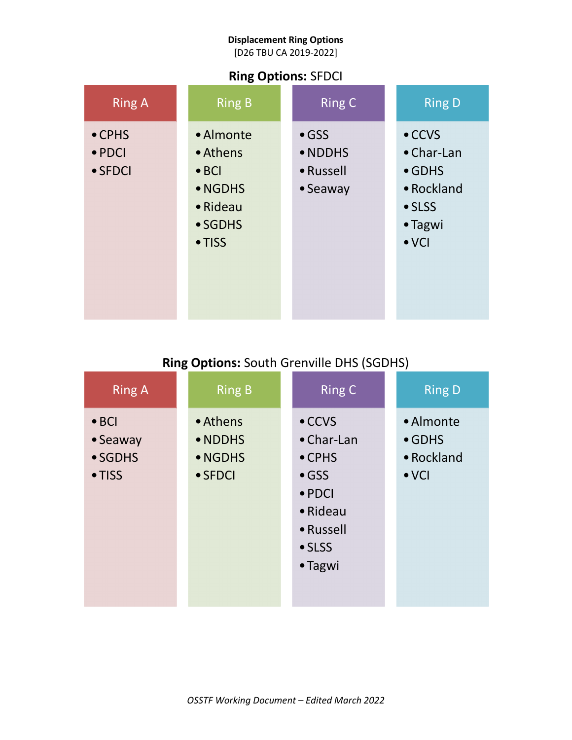[D26 TBU CA 2019-2022]

### **Ring Options:** SFDCI

| <b>Ring A</b>                                       | <b>Ring B</b>                                                                      | <b>Ring C</b>                                     | <b>Ring D</b>                                                                                              |
|-----------------------------------------------------|------------------------------------------------------------------------------------|---------------------------------------------------|------------------------------------------------------------------------------------------------------------|
| $\bullet$ CPHS<br>$\bullet$ PDCI<br>$\bullet$ SFDCI | • Almonte<br>• Athens<br>$\bullet$ BCI<br>• NGDHS<br>• Rideau<br>• SGDHS<br>• TISS | $\bullet$ GSS<br>• NDDHS<br>• Russell<br>• Seaway | $\bullet$ CCVS<br>$\bullet$ Char-Lan<br>$\bullet$ GDHS<br>• Rockland<br>• SLSS<br>• Tagwi<br>$\bullet$ VCI |

# **Ring Options:** South Grenville DHS (SGDHS)

| <b>Ring A</b>                                          | <b>Ring B</b>                                     | <b>Ring C</b>                                                                                                                           | <b>Ring D</b>                                              |
|--------------------------------------------------------|---------------------------------------------------|-----------------------------------------------------------------------------------------------------------------------------------------|------------------------------------------------------------|
| $\bullet$ BCI<br>• Seaway<br>• SGDHS<br>$\bullet$ TISS | • Athens<br>• NDDHS<br>• NGDHS<br>$\bullet$ SFDCI | $\bullet$ CCVS<br>• Char-Lan<br>$\bullet$ CPHS<br>$\bullet$ GSS<br>$\bullet$ PDCI<br>• Rideau<br>• Russell<br>$\bullet$ SLSS<br>• Tagwi | • Almonte<br>$\bullet$ GDHS<br>• Rockland<br>$\bullet$ VCI |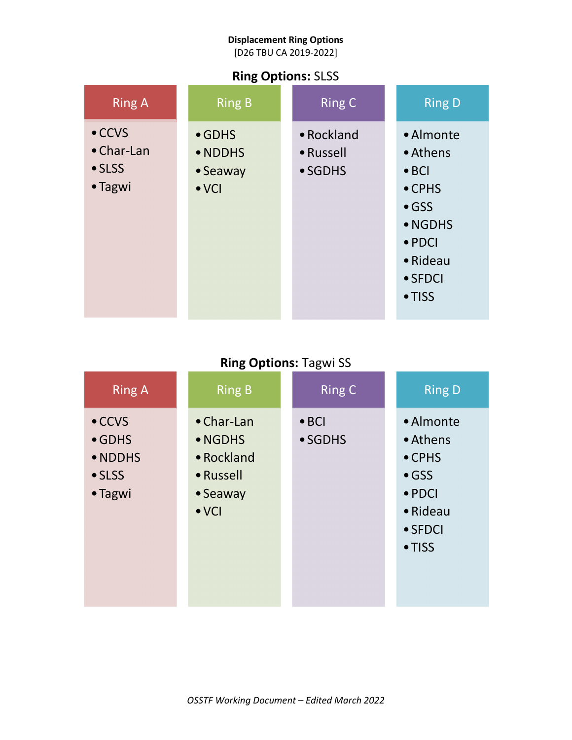[D26 TBU CA 2019-2022]

### **Ring Options:** SLSS

| <b>Ring A</b>                                                     | <b>Ring B</b>                                          | <b>Ring C</b>                      | <b>Ring D</b>                                                                                                                           |
|-------------------------------------------------------------------|--------------------------------------------------------|------------------------------------|-----------------------------------------------------------------------------------------------------------------------------------------|
| $\bullet$ CCVS<br>$\bullet$ Char-Lan<br>$\bullet$ SLSS<br>• Tagwi | $\bullet$ GDHS<br>• NDDHS<br>• Seaway<br>$\bullet$ VCI | • Rockland<br>• Russell<br>• SGDHS | • Almonte<br>• Athens<br>$\bullet$ BCI<br>$\bullet$ CPHS<br>$\bullet$ GSS<br>• NGDHS<br>$\bullet$ PDCI<br>• Rideau<br>• SFDCI<br>• TISS |

## **Ring Options:** Tagwi SS